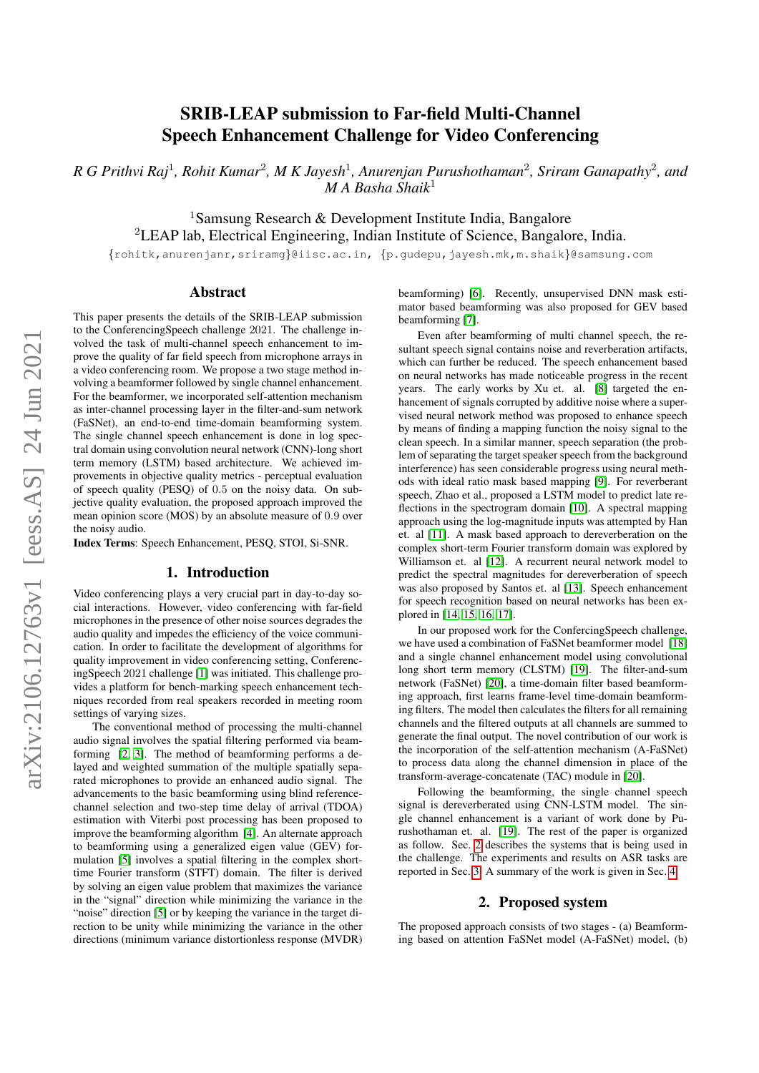# SRIB-LEAP submission to Far-field Multi-Channel Speech Enhancement Challenge for Video Conferencing

*R G Prithvi Raj*<sup>1</sup> *, Rohit Kumar*<sup>2</sup> *, M K Jayesh*<sup>1</sup> *, Anurenjan Purushothaman*<sup>2</sup> *, Sriram Ganapathy*<sup>2</sup> *, and M A Basha Shaik*<sup>1</sup>

<sup>1</sup>Samsung Research & Development Institute India, Bangalore <sup>2</sup>LEAP lab, Electrical Engineering, Indian Institute of Science, Bangalore, India.

{rohitk,anurenjanr,sriramg}@iisc.ac.in, {p.gudepu,jayesh.mk,m.shaik}@samsung.com

# Abstract

This paper presents the details of the SRIB-LEAP submission to the ConferencingSpeech challenge 2021. The challenge involved the task of multi-channel speech enhancement to improve the quality of far field speech from microphone arrays in a video conferencing room. We propose a two stage method involving a beamformer followed by single channel enhancement. For the beamformer, we incorporated self-attention mechanism as inter-channel processing layer in the filter-and-sum network (FaSNet), an end-to-end time-domain beamforming system. The single channel speech enhancement is done in log spectral domain using convolution neural network (CNN)-long short term memory (LSTM) based architecture. We achieved improvements in objective quality metrics - perceptual evaluation of speech quality (PESQ) of 0.5 on the noisy data. On subjective quality evaluation, the proposed approach improved the mean opinion score (MOS) by an absolute measure of 0.9 over the noisy audio.

Index Terms: Speech Enhancement, PESQ, STOI, Si-SNR.

### 1. Introduction

Video conferencing plays a very crucial part in day-to-day social interactions. However, video conferencing with far-field microphones in the presence of other noise sources degrades the audio quality and impedes the efficiency of the voice communication. In order to facilitate the development of algorithms for quality improvement in video conferencing setting, ConferencingSpeech 2021 challenge [\[1\]](#page-4-0) was initiated. This challenge provides a platform for bench-marking speech enhancement techniques recorded from real speakers recorded in meeting room settings of varying sizes.

The conventional method of processing the multi-channel audio signal involves the spatial filtering performed via beamforming [\[2,](#page-4-1) [3\]](#page-4-2). The method of beamforming performs a delayed and weighted summation of the multiple spatially separated microphones to provide an enhanced audio signal. The advancements to the basic beamforming using blind referencechannel selection and two-step time delay of arrival (TDOA) estimation with Viterbi post processing has been proposed to improve the beamforming algorithm [\[4\]](#page-4-3). An alternate approach to beamforming using a generalized eigen value (GEV) formulation [\[5\]](#page-4-4) involves a spatial filtering in the complex shorttime Fourier transform (STFT) domain. The filter is derived by solving an eigen value problem that maximizes the variance in the "signal" direction while minimizing the variance in the "noise" direction [\[5\]](#page-4-4) or by keeping the variance in the target direction to be unity while minimizing the variance in the other directions (minimum variance distortionless response (MVDR) beamforming) [\[6\]](#page-4-5). Recently, unsupervised DNN mask estimator based beamforming was also proposed for GEV based beamforming [\[7\]](#page-4-6).

Even after beamforming of multi channel speech, the resultant speech signal contains noise and reverberation artifacts, which can further be reduced. The speech enhancement based on neural networks has made noticeable progress in the recent years. The early works by Xu et. al. [\[8\]](#page-4-7) targeted the enhancement of signals corrupted by additive noise where a supervised neural network method was proposed to enhance speech by means of finding a mapping function the noisy signal to the clean speech. In a similar manner, speech separation (the problem of separating the target speaker speech from the background interference) has seen considerable progress using neural methods with ideal ratio mask based mapping [\[9\]](#page-4-8). For reverberant speech, Zhao et al., proposed a LSTM model to predict late reflections in the spectrogram domain [\[10\]](#page-4-9). A spectral mapping approach using the log-magnitude inputs was attempted by Han et. al [\[11\]](#page-4-10). A mask based approach to dereverberation on the complex short-term Fourier transform domain was explored by Williamson et. al [\[12\]](#page-4-11). A recurrent neural network model to predict the spectral magnitudes for dereverberation of speech was also proposed by Santos et. al [\[13\]](#page-4-12). Speech enhancement for speech recognition based on neural networks has been explored in [\[14,](#page-4-13) [15,](#page-4-14) [16,](#page-4-15) [17\]](#page-4-16).

In our proposed work for the ConfercingSpeech challenge, we have used a combination of FaSNet beamformer model [\[18\]](#page-4-17) and a single channel enhancement model using convolutional long short term memory (CLSTM) [\[19\]](#page-4-18). The filter-and-sum network (FaSNet) [\[20\]](#page-4-19), a time-domain filter based beamforming approach, first learns frame-level time-domain beamforming filters. The model then calculates the filters for all remaining channels and the filtered outputs at all channels are summed to generate the final output. The novel contribution of our work is the incorporation of the self-attention mechanism (A-FaSNet) to process data along the channel dimension in place of the transform-average-concatenate (TAC) module in [\[20\]](#page-4-19).

Following the beamforming, the single channel speech signal is dereverberated using CNN-LSTM model. The single channel enhancement is a variant of work done by Purushothaman et. al. [\[19\]](#page-4-18). The rest of the paper is organized as follow. Sec. [2](#page-0-0) describes the systems that is being used in the challenge. The experiments and results on ASR tasks are reported in Sec. [3.](#page-2-0) A summary of the work is given in Sec. [4.](#page-3-0)

# 2. Proposed system

<span id="page-0-0"></span>The proposed approach consists of two stages - (a) Beamforming based on attention FaSNet model (A-FaSNet) model, (b)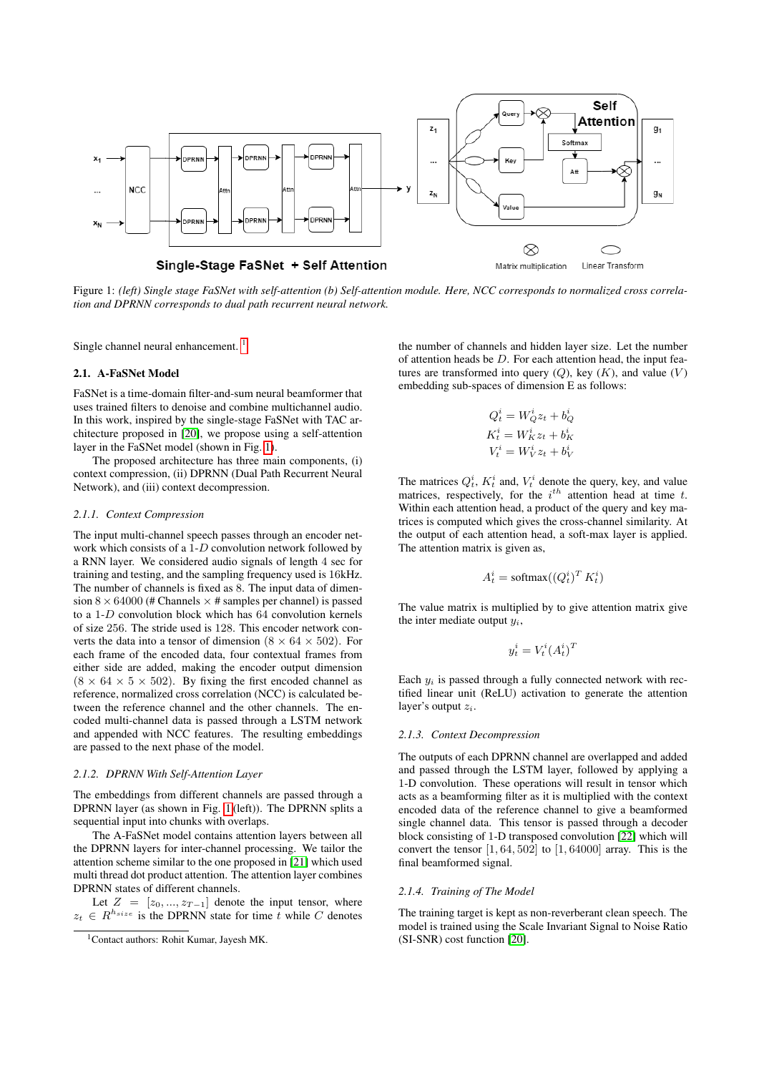<span id="page-1-1"></span>

Figure 1: *(left) Single stage FaSNet with self-attention (b) Self-attention module. Here, NCC corresponds to normalized cross correlation and DPRNN corresponds to dual path recurrent neural network.*

Single channel neural enhancement.<sup>[1](#page-1-0)</sup>

### 2.1. A-FaSNet Model

FaSNet is a time-domain filter-and-sum neural beamformer that uses trained filters to denoise and combine multichannel audio. In this work, inspired by the single-stage FaSNet with TAC architecture proposed in [\[20\]](#page-4-19), we propose using a self-attention layer in the FaSNet model (shown in Fig. [1\)](#page-1-1).

The proposed architecture has three main components, (i) context compression, (ii) DPRNN (Dual Path Recurrent Neural Network), and (iii) context decompression.

### *2.1.1. Context Compression*

The input multi-channel speech passes through an encoder network which consists of a 1-D convolution network followed by a RNN layer. We considered audio signals of length 4 sec for training and testing, and the sampling frequency used is 16kHz. The number of channels is fixed as 8. The input data of dimension  $8 \times 64000$  (# Channels  $\times$  # samples per channel) is passed to a 1-D convolution block which has 64 convolution kernels of size 256. The stride used is 128. This encoder network converts the data into a tensor of dimension  $(8 \times 64 \times 502)$ . For each frame of the encoded data, four contextual frames from either side are added, making the encoder output dimension  $(8 \times 64 \times 5 \times 502)$ . By fixing the first encoded channel as reference, normalized cross correlation (NCC) is calculated between the reference channel and the other channels. The encoded multi-channel data is passed through a LSTM network and appended with NCC features. The resulting embeddings are passed to the next phase of the model.

### *2.1.2. DPRNN With Self-Attention Layer*

The embeddings from different channels are passed through a DPRNN layer (as shown in Fig. [1](#page-1-1) (left)). The DPRNN splits a sequential input into chunks with overlaps.

The A-FaSNet model contains attention layers between all the DPRNN layers for inter-channel processing. We tailor the attention scheme similar to the one proposed in [\[21\]](#page-4-20) which used multi thread dot product attention. The attention layer combines DPRNN states of different channels.

Let  $Z = [z_0, ..., z_{T-1}]$  denote the input tensor, where  $z_t \in R^{h_{size}}$  is the DPRNN state for time t while C denotes

the number of channels and hidden layer size. Let the number of attention heads be  $D$ . For each attention head, the input features are transformed into query  $(Q)$ , key  $(K)$ , and value  $(V)$ embedding sub-spaces of dimension E as follows:

$$
Q_t^i = W_Q^i z_t + b_Q^i
$$
  
\n
$$
K_t^i = W_K^i z_t + b_K^i
$$
  
\n
$$
V_t^i = W_V^i z_t + b_V^i
$$

The matrices  $Q_t^i$ ,  $K_t^i$  and,  $V_t^i$  denote the query, key, and value matrices, respectively, for the  $i^{th}$  attention head at time t. Within each attention head, a product of the query and key matrices is computed which gives the cross-channel similarity. At the output of each attention head, a soft-max layer is applied. The attention matrix is given as,

$$
A_t^i = \text{softmax}((Q_t^i)^T K_t^i)
$$

The value matrix is multiplied by to give attention matrix give the inter mediate output  $u_i$ .

$$
y_t^i = V_t^i (A_t^i)^T
$$

Each  $y_i$  is passed through a fully connected network with rectified linear unit (ReLU) activation to generate the attention layer's output  $z_i$ .

#### *2.1.3. Context Decompression*

The outputs of each DPRNN channel are overlapped and added and passed through the LSTM layer, followed by applying a 1-D convolution. These operations will result in tensor which acts as a beamforming filter as it is multiplied with the context encoded data of the reference channel to give a beamformed single channel data. This tensor is passed through a decoder block consisting of 1-D transposed convolution [\[22\]](#page-4-21) which will convert the tensor  $\left[1, 64, 502\right]$  to  $\left[1, 64000\right]$  array. This is the final beamformed signal.

### *2.1.4. Training of The Model*

The training target is kept as non-reverberant clean speech. The model is trained using the Scale Invariant Signal to Noise Ratio (SI-SNR) cost function [\[20\]](#page-4-19).

<span id="page-1-0"></span><sup>1</sup>Contact authors: Rohit Kumar, Jayesh MK.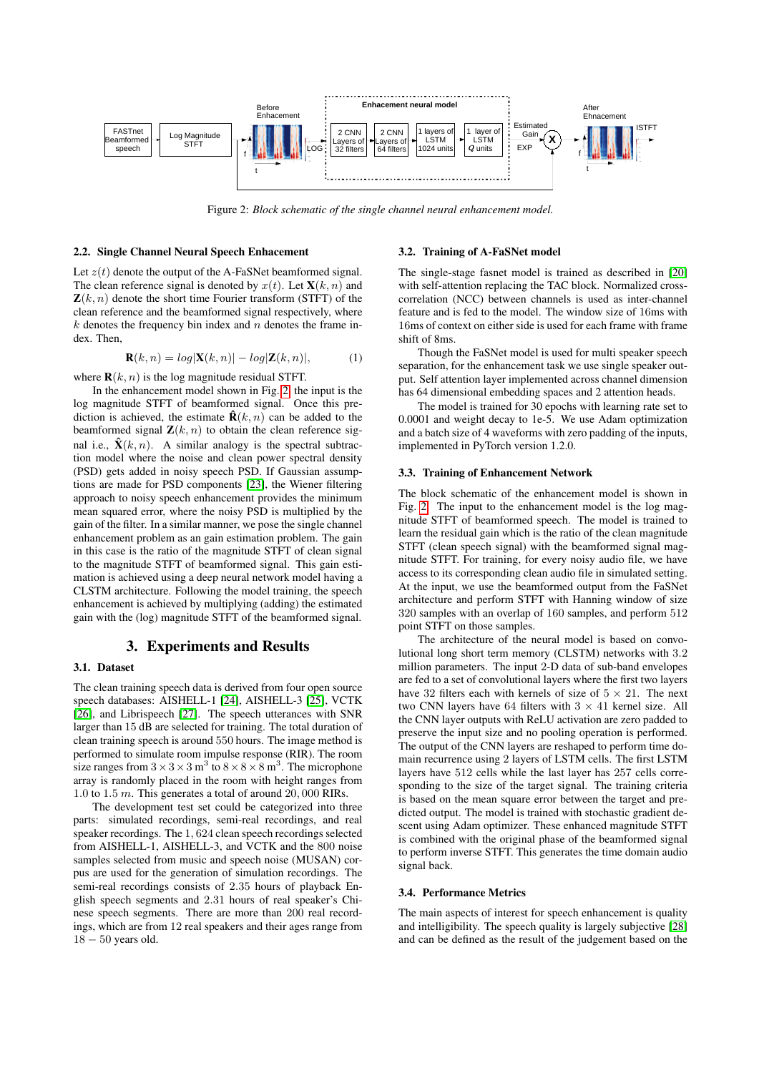<span id="page-2-1"></span>

Figure 2: *Block schematic of the single channel neural enhancement model.*

#### 2.2. Single Channel Neural Speech Enhacement

Let  $z(t)$  denote the output of the A-FaSNet beamformed signal. The clean reference signal is denoted by  $x(t)$ . Let  $\mathbf{X}(k, n)$  and  $\mathbf{Z}(k, n)$  denote the short time Fourier transform (STFT) of the clean reference and the beamformed signal respectively, where  $k$  denotes the frequency bin index and  $n$  denotes the frame index. Then,

$$
\mathbf{R}(k,n) = \log|\mathbf{X}(k,n)| - \log|\mathbf{Z}(k,n)|,\tag{1}
$$

where  $\mathbf{R}(k, n)$  is the log magnitude residual STFT.

In the enhancement model shown in Fig. [2,](#page-2-1) the input is the log magnitude STFT of beamformed signal. Once this prediction is achieved, the estimate  $\hat{\mathbf{R}}(k, n)$  can be added to the beamformed signal  $\mathbf{Z}(k, n)$  to obtain the clean reference signal i.e.,  $\hat{\mathbf{X}}(k, n)$ . A similar analogy is the spectral subtraction model where the noise and clean power spectral density (PSD) gets added in noisy speech PSD. If Gaussian assumptions are made for PSD components [\[23\]](#page-4-22), the Wiener filtering approach to noisy speech enhancement provides the minimum mean squared error, where the noisy PSD is multiplied by the gain of the filter. In a similar manner, we pose the single channel enhancement problem as an gain estimation problem. The gain in this case is the ratio of the magnitude STFT of clean signal to the magnitude STFT of beamformed signal. This gain estimation is achieved using a deep neural network model having a CLSTM architecture. Following the model training, the speech enhancement is achieved by multiplying (adding) the estimated gain with the (log) magnitude STFT of the beamformed signal.

# 3. Experiments and Results

### <span id="page-2-0"></span>3.1. Dataset

The clean training speech data is derived from four open source speech databases: AISHELL-1 [\[24\]](#page-4-23), AISHELL-3 [\[25\]](#page-4-24), VCTK [\[26\]](#page-4-25), and Librispeech [\[27\]](#page-4-26). The speech utterances with SNR larger than 15 dB are selected for training. The total duration of clean training speech is around 550 hours. The image method is performed to simulate room impulse response (RIR). The room size ranges from  $3 \times 3 \times 3$  m<sup>3</sup> to  $8 \times 8 \times 8$  m<sup>3</sup>. The microphone array is randomly placed in the room with height ranges from 1.0 to 1.5 m. This generates a total of around 20, 000 RIRs.

The development test set could be categorized into three parts: simulated recordings, semi-real recordings, and real speaker recordings. The 1, 624 clean speech recordings selected from AISHELL-1, AISHELL-3, and VCTK and the 800 noise samples selected from music and speech noise (MUSAN) corpus are used for the generation of simulation recordings. The semi-real recordings consists of 2.35 hours of playback English speech segments and 2.31 hours of real speaker's Chinese speech segments. There are more than 200 real recordings, which are from 12 real speakers and their ages range from  $18 - 50$  years old.

#### 3.2. Training of A-FaSNet model

The single-stage fasnet model is trained as described in [\[20\]](#page-4-19) with self-attention replacing the TAC block. Normalized crosscorrelation (NCC) between channels is used as inter-channel feature and is fed to the model. The window size of 16ms with 16ms of context on either side is used for each frame with frame shift of 8ms.

Though the FaSNet model is used for multi speaker speech separation, for the enhancement task we use single speaker output. Self attention layer implemented across channel dimension has 64 dimensional embedding spaces and 2 attention heads.

The model is trained for 30 epochs with learning rate set to 0.0001 and weight decay to 1e-5. We use Adam optimization and a batch size of 4 waveforms with zero padding of the inputs, implemented in PyTorch version 1.2.0.

### 3.3. Training of Enhancement Network

The block schematic of the enhancement model is shown in Fig. [2.](#page-2-1) The input to the enhancement model is the log magnitude STFT of beamformed speech. The model is trained to learn the residual gain which is the ratio of the clean magnitude STFT (clean speech signal) with the beamformed signal magnitude STFT. For training, for every noisy audio file, we have access to its corresponding clean audio file in simulated setting. At the input, we use the beamformed output from the FaSNet architecture and perform STFT with Hanning window of size 320 samples with an overlap of 160 samples, and perform 512 point STFT on those samples.

The architecture of the neural model is based on convolutional long short term memory (CLSTM) networks with 3.2 million parameters. The input 2-D data of sub-band envelopes are fed to a set of convolutional layers where the first two layers have 32 filters each with kernels of size of  $5 \times 21$ . The next two CNN layers have 64 filters with  $3 \times 41$  kernel size. All the CNN layer outputs with ReLU activation are zero padded to preserve the input size and no pooling operation is performed. The output of the CNN layers are reshaped to perform time domain recurrence using 2 layers of LSTM cells. The first LSTM layers have 512 cells while the last layer has 257 cells corresponding to the size of the target signal. The training criteria is based on the mean square error between the target and predicted output. The model is trained with stochastic gradient descent using Adam optimizer. These enhanced magnitude STFT is combined with the original phase of the beamformed signal to perform inverse STFT. This generates the time domain audio signal back.

#### 3.4. Performance Metrics

The main aspects of interest for speech enhancement is quality and intelligibility. The speech quality is largely subjective [\[28\]](#page-4-27) and can be defined as the result of the judgement based on the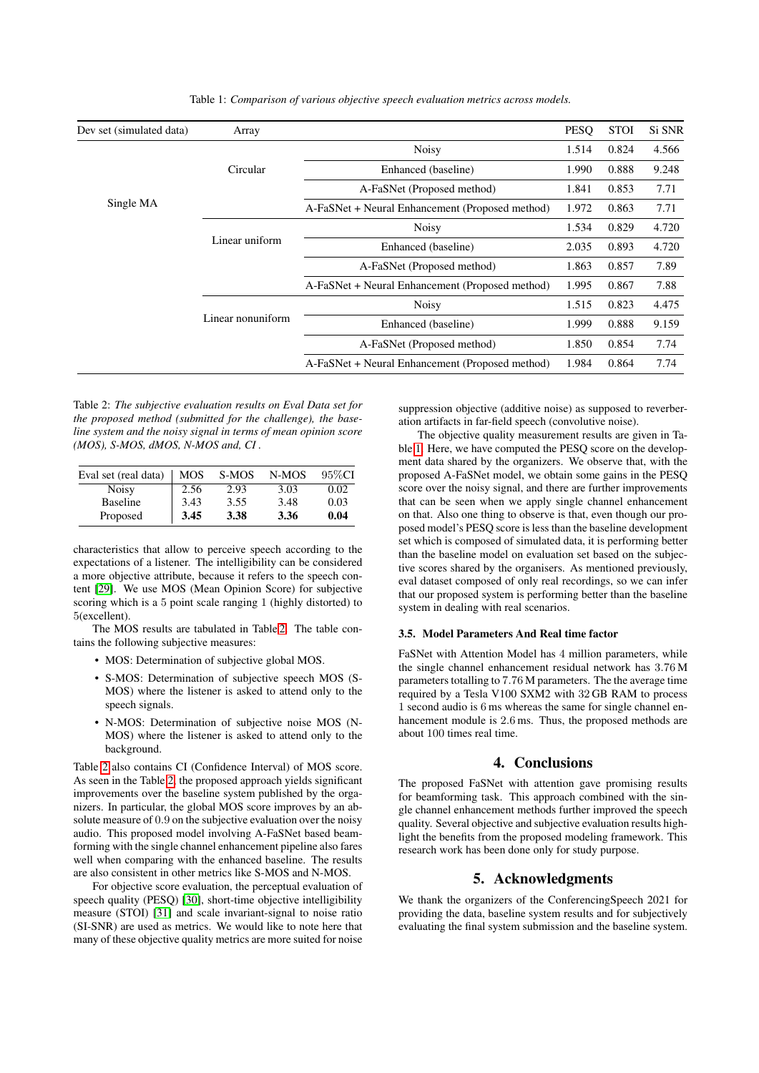<span id="page-3-2"></span>

| Dev set (simulated data) | Array             |                                                 | PESQ  | <b>STOI</b> | Si SNR |
|--------------------------|-------------------|-------------------------------------------------|-------|-------------|--------|
| Single MA                |                   | <b>Noisy</b>                                    |       | 0.824       | 4.566  |
|                          | Circular          | Enhanced (baseline)                             |       | 0.888       | 9.248  |
|                          |                   | A-FaSNet (Proposed method)                      |       | 0.853       | 7.71   |
|                          |                   | A-FaSNet + Neural Enhancement (Proposed method) | 1.972 | 0.863       | 7.71   |
|                          | Linear uniform    | <b>Noisy</b>                                    |       | 0.829       | 4.720  |
|                          |                   | Enhanced (baseline)                             |       | 0.893       | 4.720  |
|                          |                   | A-FaSNet (Proposed method)                      |       | 0.857       | 7.89   |
|                          |                   | A-FaSNet + Neural Enhancement (Proposed method) |       | 0.867       | 7.88   |
|                          | Linear nonuniform | <b>Noisy</b>                                    |       | 0.823       | 4.475  |
|                          |                   | Enhanced (baseline)                             |       | 0.888       | 9.159  |
|                          |                   | A-FaSNet (Proposed method)                      |       | 0.854       | 7.74   |
|                          |                   | A-FaSNet + Neural Enhancement (Proposed method) | 1.984 | 0.864       | 7.74   |

Table 1: *Comparison of various objective speech evaluation metrics across models.*

<span id="page-3-1"></span>Table 2: *The subjective evaluation results on Eval Data set for the proposed method (submitted for the challenge), the baseline system and the noisy signal in terms of mean opinion score (MOS), S-MOS, dMOS, N-MOS and, CI .*

| Eval set (real data) | <b>MOS</b> | S-MOS | N-MOS | 95\%CI |
|----------------------|------------|-------|-------|--------|
| <b>Noisy</b>         | 2.56       | 2.93  | 3.03  | 0.02   |
| Baseline             | 3.43       | 3.55  | 3.48  | 0.03   |
| Proposed             | 3.45       | 3.38  | 3.36  | 0.04   |

characteristics that allow to perceive speech according to the expectations of a listener. The intelligibility can be considered a more objective attribute, because it refers to the speech content [\[29\]](#page-4-28). We use MOS (Mean Opinion Score) for subjective scoring which is a 5 point scale ranging 1 (highly distorted) to 5(excellent).

The MOS results are tabulated in Table [2.](#page-3-1) The table contains the following subjective measures:

- MOS: Determination of subjective global MOS.
- S-MOS: Determination of subjective speech MOS (S-MOS) where the listener is asked to attend only to the speech signals.
- N-MOS: Determination of subjective noise MOS (N-MOS) where the listener is asked to attend only to the background.

Table [2](#page-3-1) also contains CI (Confidence Interval) of MOS score. As seen in the Table [2,](#page-3-1) the proposed approach yields significant improvements over the baseline system published by the organizers. In particular, the global MOS score improves by an absolute measure of 0.9 on the subjective evaluation over the noisy audio. This proposed model involving A-FaSNet based beamforming with the single channel enhancement pipeline also fares well when comparing with the enhanced baseline. The results are also consistent in other metrics like S-MOS and N-MOS.

For objective score evaluation, the perceptual evaluation of speech quality (PESQ) [\[30\]](#page-4-29), short-time objective intelligibility measure (STOI) [\[31\]](#page-4-30) and scale invariant-signal to noise ratio (SI-SNR) are used as metrics. We would like to note here that many of these objective quality metrics are more suited for noise suppression objective (additive noise) as supposed to reverberation artifacts in far-field speech (convolutive noise).

The objective quality measurement results are given in Table [1.](#page-3-2) Here, we have computed the PESQ score on the development data shared by the organizers. We observe that, with the proposed A-FaSNet model, we obtain some gains in the PESQ score over the noisy signal, and there are further improvements that can be seen when we apply single channel enhancement on that. Also one thing to observe is that, even though our proposed model's PESQ score is less than the baseline development set which is composed of simulated data, it is performing better than the baseline model on evaluation set based on the subjective scores shared by the organisers. As mentioned previously, eval dataset composed of only real recordings, so we can infer that our proposed system is performing better than the baseline system in dealing with real scenarios.

## 3.5. Model Parameters And Real time factor

FaSNet with Attention Model has 4 million parameters, while the single channel enhancement residual network has 3.76 M parameters totalling to 7.76 M parameters. The the average time required by a Tesla V100 SXM2 with 32 GB RAM to process 1 second audio is 6 ms whereas the same for single channel enhancement module is 2.6 ms. Thus, the proposed methods are about 100 times real time.

### 4. Conclusions

<span id="page-3-0"></span>The proposed FaSNet with attention gave promising results for beamforming task. This approach combined with the single channel enhancement methods further improved the speech quality. Several objective and subjective evaluation results highlight the benefits from the proposed modeling framework. This research work has been done only for study purpose.

## 5. Acknowledgments

We thank the organizers of the ConferencingSpeech 2021 for providing the data, baseline system results and for subjectively evaluating the final system submission and the baseline system.